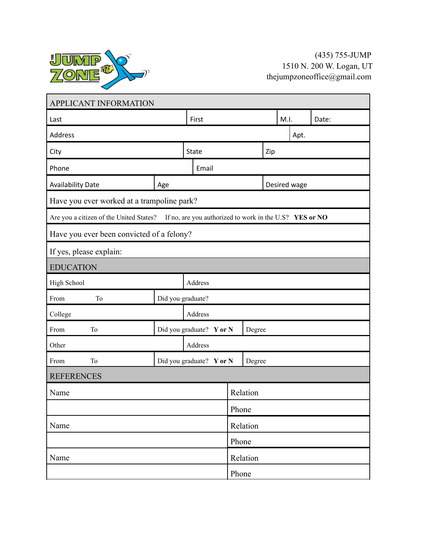

| APPLICANT INFORMATION                                                                              |                     |                                    |          |              |        |       |  |  |  |
|----------------------------------------------------------------------------------------------------|---------------------|------------------------------------|----------|--------------|--------|-------|--|--|--|
| Last                                                                                               | First               |                                    |          | M.I.         |        | Date: |  |  |  |
| Address                                                                                            |                     |                                    |          |              | Apt.   |       |  |  |  |
| City                                                                                               | <b>State</b><br>Zip |                                    |          |              |        |       |  |  |  |
| Phone                                                                                              | Email               |                                    |          |              |        |       |  |  |  |
| <b>Availability Date</b>                                                                           | Age                 |                                    |          | Desired wage |        |       |  |  |  |
| Have you ever worked at a trampoline park?                                                         |                     |                                    |          |              |        |       |  |  |  |
| If no, are you authorized to work in the U.S? YES or NO<br>Are you a citizen of the United States? |                     |                                    |          |              |        |       |  |  |  |
| Have you ever been convicted of a felony?                                                          |                     |                                    |          |              |        |       |  |  |  |
| If yes, please explain:                                                                            |                     |                                    |          |              |        |       |  |  |  |
| <b>EDUCATION</b>                                                                                   |                     |                                    |          |              |        |       |  |  |  |
| High School                                                                                        | Address             |                                    |          |              |        |       |  |  |  |
| T <sub>o</sub><br>From                                                                             | Did you graduate?   |                                    |          |              |        |       |  |  |  |
| College                                                                                            | Address             |                                    |          |              |        |       |  |  |  |
| T <sub>o</sub><br>From                                                                             |                     | Did you graduate? Y or N<br>Degree |          |              |        |       |  |  |  |
| Other                                                                                              | Address             |                                    |          |              |        |       |  |  |  |
| T <sub>o</sub><br>From                                                                             |                     | Did you graduate? Y or N           |          |              | Degree |       |  |  |  |
| <b>REFERENCES</b>                                                                                  |                     |                                    |          |              |        |       |  |  |  |
| Name                                                                                               |                     |                                    | Relation |              |        |       |  |  |  |
|                                                                                                    |                     |                                    | Phone    |              |        |       |  |  |  |
| Name                                                                                               |                     |                                    |          | Relation     |        |       |  |  |  |
|                                                                                                    |                     |                                    |          | Phone        |        |       |  |  |  |
| Name                                                                                               |                     |                                    | Relation |              |        |       |  |  |  |
|                                                                                                    |                     |                                    |          | Phone        |        |       |  |  |  |